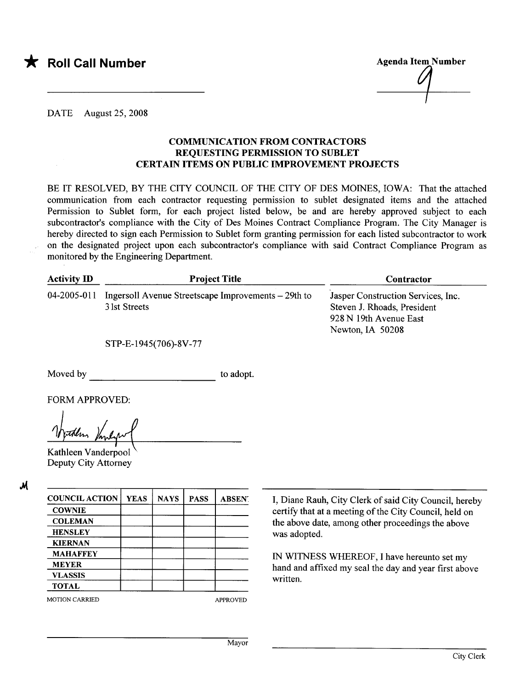

**Agenda Item Number** 

DATE August 25, 2008

## COMMUICATION FROM CONTRACTORS REQUESTING PERMISSION TO SUBLET CERTAIN ITEMS ON PUBLIC IMPROVEMENT PROJECTS

BE IT RESOLVED, BY THE CITY COUNCIL OF THE CITY OF DES MOINES, IOWA: That the attached communication from each contractor requesting permission to sublet designated items and the attached Permission to Sublet form, for each project listed below, be and are hereby approved subject to each subcontractor's compliance with the City of Des Moines Contract Compliance Program. The City Manager is hereby directed to sign each Permission to Sublet form granting permission for each listed subcontractor to work on the designated project upon each subcontractor's compliance with said Contract Compliance Program as monitored by the Engineering Department.

| <b>Activity ID</b> | <b>Project Title</b>                                                 | Contractor                                                                                                      |
|--------------------|----------------------------------------------------------------------|-----------------------------------------------------------------------------------------------------------------|
| 04-2005-011        | Ingersoll Avenue Streetscape Improvements – 29th to<br>3 lst Streets | Jasper Construction Services, Inc.<br>Steven J. Rhoads, President<br>928 N 19th Avenue East<br>Newton, IA 50208 |

STP-E-1945(706)-8V -77

Moved by to adopt.

FORM APPROVED:

Kathleen Vanderpool Deputy City Attorney

oM

| <b>COUNCIL ACTION</b> | <b>YEAS</b> | <b>NAYS</b> | <b>PASS</b> | <b>ABSENT</b>   |
|-----------------------|-------------|-------------|-------------|-----------------|
| <b>COWNIE</b>         |             |             |             |                 |
| <b>COLEMAN</b>        |             |             |             |                 |
| <b>HENSLEY</b>        |             |             |             |                 |
| <b>KIERNAN</b>        |             |             |             |                 |
| <b>MAHAFFEY</b>       |             |             |             |                 |
| <b>MEYER</b>          |             |             |             |                 |
| <b>VLASSIS</b>        |             |             |             |                 |
| <b>TOTAL</b>          |             |             |             |                 |
| <b>MOTION CARRIED</b> |             |             |             | <b>APPROVED</b> |

I, Diane Rauh, City Clerk of said City Council, hereby certify that at a meeting of the City Council, held on the above date, among other proceedings the above was adopted.

IN WITNESS WHREOF, I have hereunto set my hand and affixed my seal the day and year first above written.

Mayor